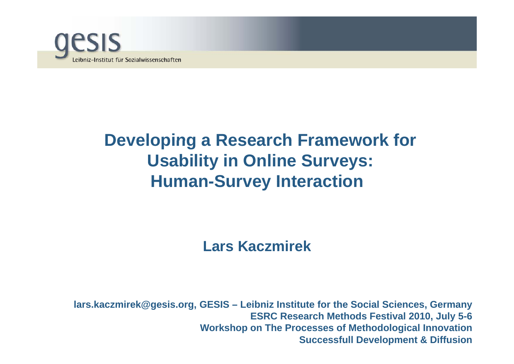

# **Developing <sup>a</sup> Research Framework for Usability in Online Surveys: Human-Survey Interaction**

### **Lars Kaczmirek**

lars.kaczmirek@gesis.org, GESIS – Leibniz Institute for the Social Sciences, Germany<br>ESRC Research Methods Festival 2010, July 5-6 **Workshop on The Processes of Methodological Innovation Successfull Development & Diffusion**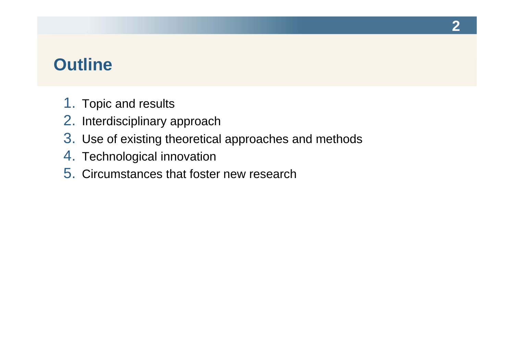## **Outline**

- 1. Topic and results
- 2. Interdisciplinary approach
- 3. Use of existing theoretical approaches and methods
- 4. Technological innovation
- 5. Circumstances that foster new research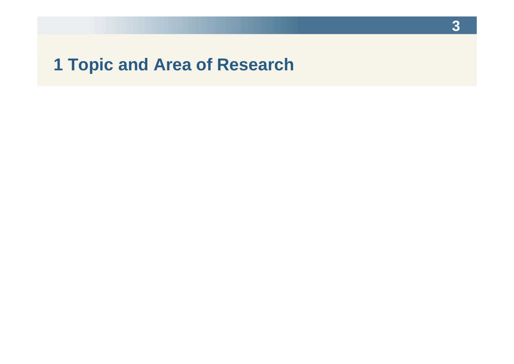# **1 Topic and Area of Research**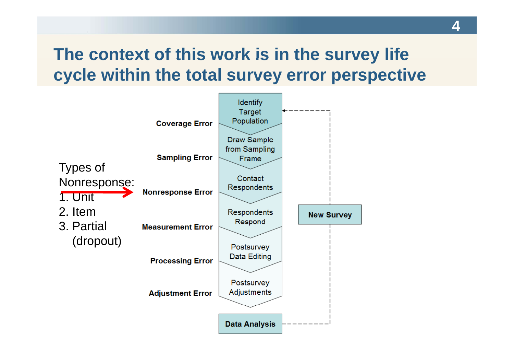# **The context of this work is in the survey life is cycle within the total survey error perspective**

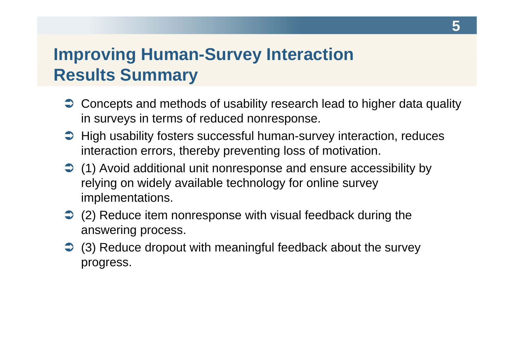# **Improving Human-Survey Interaction Results Summary**

- $\supset$  Concepts and methods of usability research lead to higher data quality in surveys in terms of reduced nonresponse.
- $\supset$  High usability fosters successful human-survey interaction, reduces interaction errors, thereby preventing loss of motivation.
- (1) Avoid additional unit nonresponse and ensure accessibility by relying on widely available technology for online survey implementations.
- **→** (2) Reduce item nonresponse with visual feedback during the answering process.
- **→** (3) Reduce dropout with meaningful feedback about the survey progress.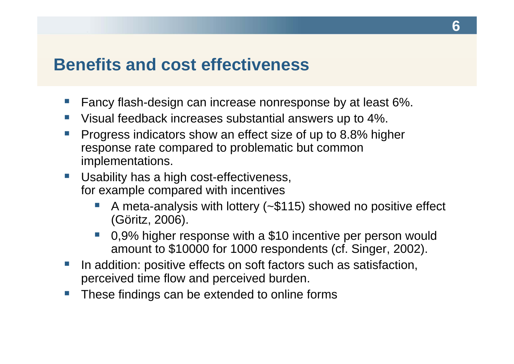### **Benefits and cost effectiveness**

- **Fancy flash-design can increase nonresponse by at least 6%.**
- Visual feedback increases substantial answers up to 4%.
- e<br>S **Progress indicators show an effect size of up to 8.8% higher** response rate compared to problematic but common implementations.
- $\mathcal{L}^{\text{max}}$ ■ Usability has a high cost-effectiveness, for example compared with incentives
	- e<br>S A meta-analysis with lottery (~\$115) showed no positive effect (Göritz, 2006).
	- e<br>S 0,9% higher response with a \$10 incentive per person would amount to \$10000 for 1000 respondents (cf. Singer, 2002).
- Ŧ In addition: positive effects on soft factors such as satisfaction, perceived time flow and perceived burden.
- Ŧ These findings can be extended to online forms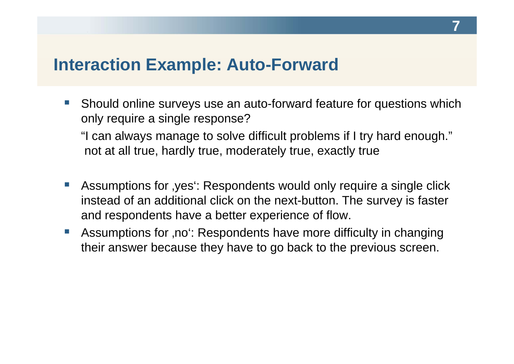### **Interaction Example: Auto-Forward**

 $\sim 10^{-1}$ • Should online surveys use an auto-forward feature for questions which only require a single response?

"I can always manage to solve difficult problems if I try hard enough." not at all true, hardly true, moderately true, exactly true

- $\mathcal{L}_{\mathcal{A}}$ **Assumptions for , yes': Respondents would only require a single click** instead of an additional click on the next-button. The survey is faster and respondents have a better experience of flow.
- e<br>S Assumptions for ,no<sup>t</sup>: Respondents have more difficulty in changing their answer because they have to go back to the previous screen.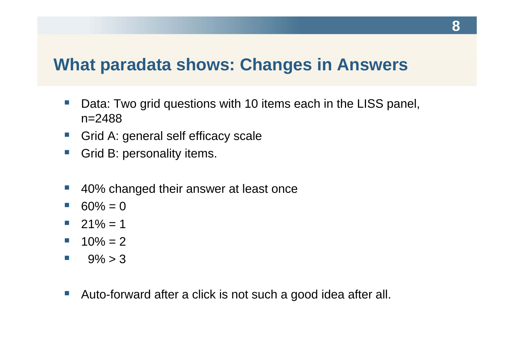### **What paradata shows: Changes in Answers**

- $\mathcal{L}^{\text{max}}$ • Data: Two grid questions with 10 items each in the LISS panel, n=2488
- $\mathcal{L}_{\mathcal{A}}$ ■ Grid A: general self efficacy scale
- e<br>S Grid B: personality items.
- $\mathcal{L}^{\text{max}}$ 40% changed their answer at least once
- $\mathcal{L}^{\mathcal{L}}$  $\blacksquare$  60% = 0
- $\blacksquare$  21% = 1 \_\_\_\_
- $10\% = 2$
- $\mathcal{L}^{\text{max}}$  $9\% > 3$
- $\mathbb{R}^n$ Auto-forward after a click is not such a good idea after all.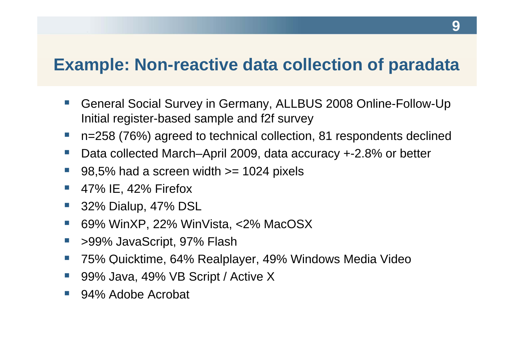### **Example: Non-reactive data collection of paradata**

- $\mathcal{L}^{\mathcal{L}}$ ■ General Social Survey in Germany, ALLBUS 2008 Online-Follow-Up Initial register-based sample and f2f survey
- e<br>S ■ n=258 (76%) agreed to technical collection, 81 respondents declined
- e<br>S Data collected March–April 2009, data accuracy +-2.8% or better
- e<br>S 98,5% had a screen width >= 1024 pixels
- e<br>S 47% IE, 42% Firefox
- e<br>S 32% Dialup, 47% DSL
- e<br>S ■ 69% WinXP, 22% WinVista, <2% MacOSX
- $\mathcal{L}^{\mathcal{L}}$ >99% JavaScript, 97% Flash
- e<br>S ■ 75% Quicktime, 64% Realplayer, 49% Windows Media Video
- e<br>S 99% Java, 49% VB Script / Active X
- Ŧ 94% Adobe Acrobat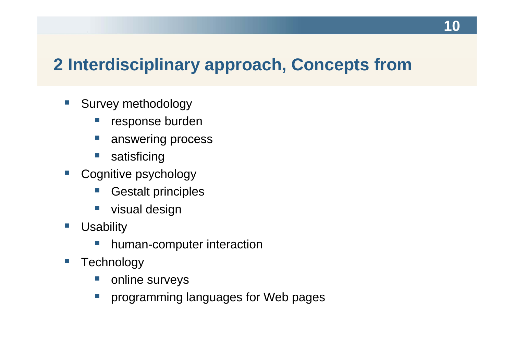# **2 Interdisciplinary approach, Concepts from**

- $\mathbb{R}^n$ • Survey methodology
	- $\mathbb{R}^n$ response burden
	- e<br>S answering process
	- $\mathbb{R}^n$ satisficing
- $\mathcal{L}_{\mathcal{A}}$  Cognitive psychology
	- e<br>S Gestalt principles
	- e<br>S visual design
- $\left\vert \cdot \right\rangle$ ■ Usability
	- e<br>S human-computer interaction
- $\mathbb{R}^n$ **Technology** 
	- Ŧ online surveys
	- $\sim$ programming languages for Web pages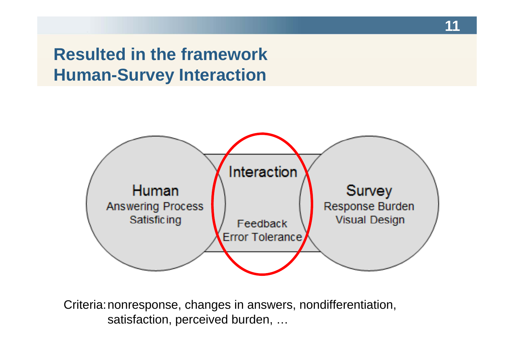### **Resulted in the framework Human-Survey Interaction**



Criteria: nonresponse, changes in answers, nondifferentiation, satisfaction, perceived burden, …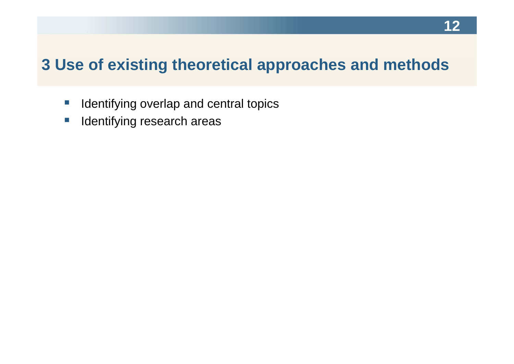### **3 Use of existing theoretical approaches and methods**

- $\mathcal{L}_{\mathcal{A}}$ **IDED IDENT IS A LOCAL IDENT IS A LOCAL THE IMAGE IS A LOCAL THE IMAGE IS A LOCAL THE ISLACE ISLACE:** In Identity
- $\overline{\mathbb{R}^n}$ Identifying research areas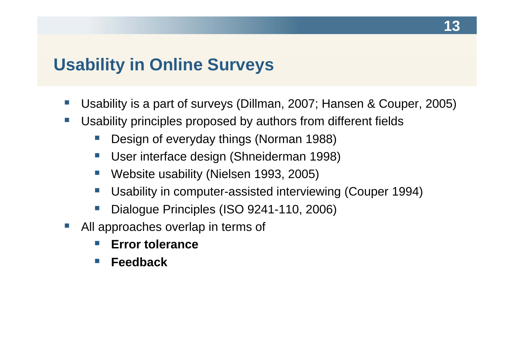### **Usability in Online Surveys**

- $\mathcal{L}^{\text{max}}$ ■ Usability is a part of surveys (Dillman, 2007; Hansen & Couper, 2005)
- $\sim$  Usability principles proposed by authors from different fields
	- e<br>S Design of everyday things (Norman 1988)
	- $\mathcal{L}_{\mathcal{A}}$ User interface design (Shneiderman 1998)
	- $\mathcal{C}^{\mathcal{A}}$ Website usability (Nielsen 1993, 2005)
	- e<br>S Usability in computer-assisted interviewing (Couper 1994)
	- e<br>S Dialogue Principles (ISO 9241-110, 2006)
- $\mathcal{L}^{\text{max}}$  $\blacksquare$  All approaches overlap in terms of
	- **Tale Error tolerance**
	- $\sim$ **Feedback**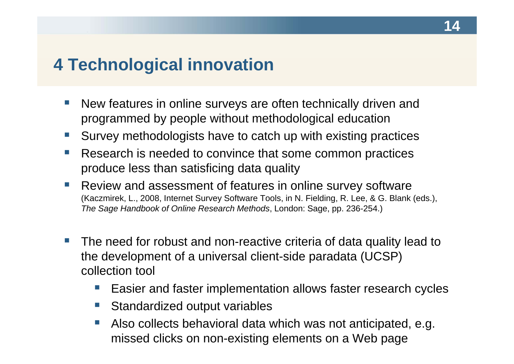## **4 Technological innovation**

- $\mathcal{L}^{\text{max}}$ • New features in online surveys are often technically driven and programmed by people without methodological education
- e<br>S ■ Survey methodologists have to catch up with existing practices
- e<br>S Research is needed to convince that some common practices produce less than satisficing data quality
- $\mathcal{L}^{\mathcal{A}}$ ■ Review and assessment of features in online survey software (Kaczmirek, L., 2008, Internet Survey Software Tools, in N. Fielding, R. Lee, & G. Blank (eds.), *The Sage Handbook of Online Research Methods*, London: Sage, pp. 236-254.)
- **The Contract**  The need for robust and non-reactive criteria of data quality lead to the development of a universal client-side paradata (UCSP) collection tool
	- e<br>S Easier and faster implementation allows faster research cycles
	- Ŧ Standardized output variables
	- Ŧ Also collects behavioral data which was not anticipated, e.g. missed clicks on non-existing elements on a Web page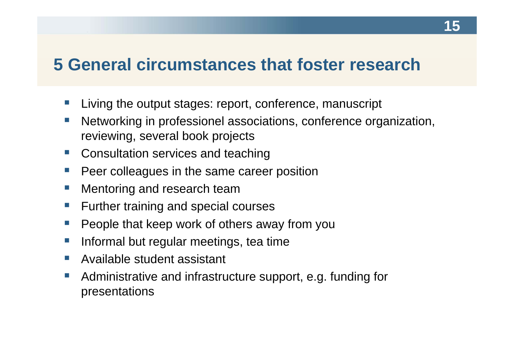### **5 General circumstances that foster research**

- $\mathcal{L}^{\text{max}}$ ■ Living the output stages: report, conference, manuscript
- $\mathcal{C}^{\mathcal{A}}$  Networking in professionel associations, conference organization, reviewing, several book projects
- e<br>S Consultation services and teaching
- $\mathcal{L}^{\text{max}}$ Peer colleagues in the same career position
- $\sim$ Mentoring and research team
- $\mathcal{L}^{\text{max}}$ Further training and special courses
- e<br>S People that keep work of others away from you
- e<br>S Informal but regular meetings, tea time
- **Available student assistant**
- $\sim$  Administrative and infrastructure support, e.g. funding for presentations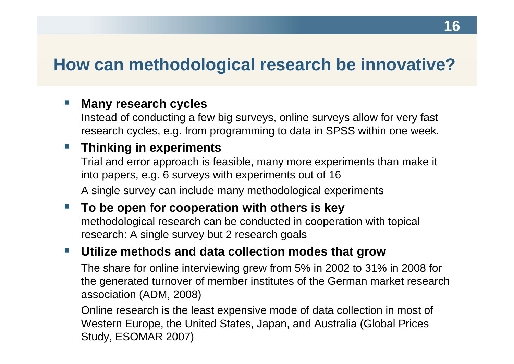### **How can methodological research be innovative?**

#### $\sim$  $\blacksquare$  Many research cycles

Instead of conducting a few big surveys, online surveys allow for very fast research cycles, e.g. from programming to data in SPSS within one week.

### **Thinking in experiments**

Trial and error approach is feasible, many more experiments than make it into papers, e.g. 6 surveys with experiments out of 16 A single survey can include many methodological experiments

 $\mathcal{L}^{\text{max}}$  **To be open for cooperation with others is key** methodological research can be conducted in cooperation with topical research: A single survey but 2 research goals

#### $\mathbb{R}^n$  and  $\mathbb{R}^n$ **Utilize methods and data collection modes that grow**

The share for online interviewing grew from 5% in 2002 to 31% in 2008 for the generated turnover of member institutes of the German market research association (ADM, 2008)

Online research is the least expensive mode of data collection in most of Western Europe, the United States, Japan, and Australia (Global Prices Study, ESOMAR 2007)